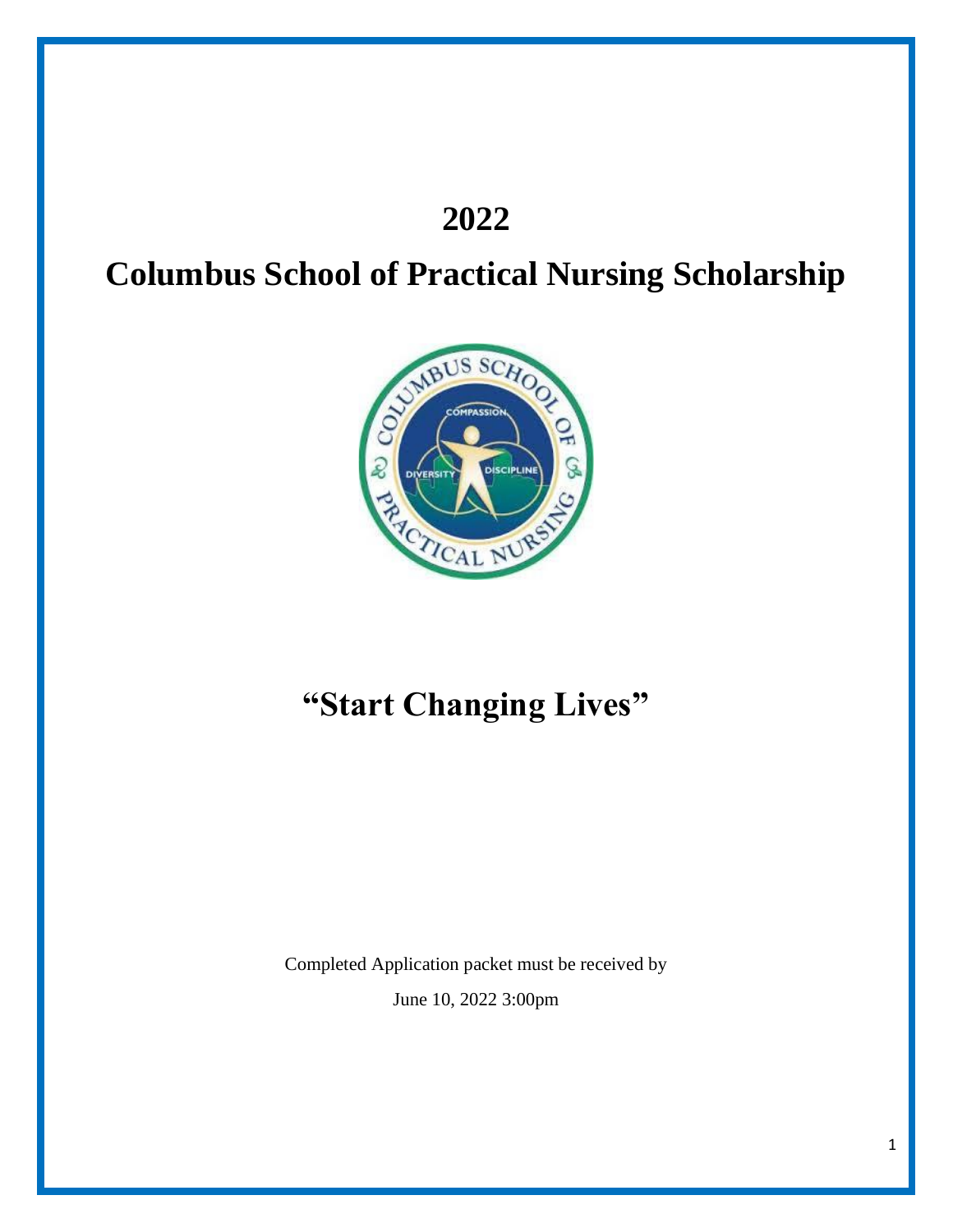## **2022**

# **Columbus School of Practical Nursing Scholarship**



# **"Start Changing Lives"**

Completed Application packet must be received by June 10, 2022 3:00pm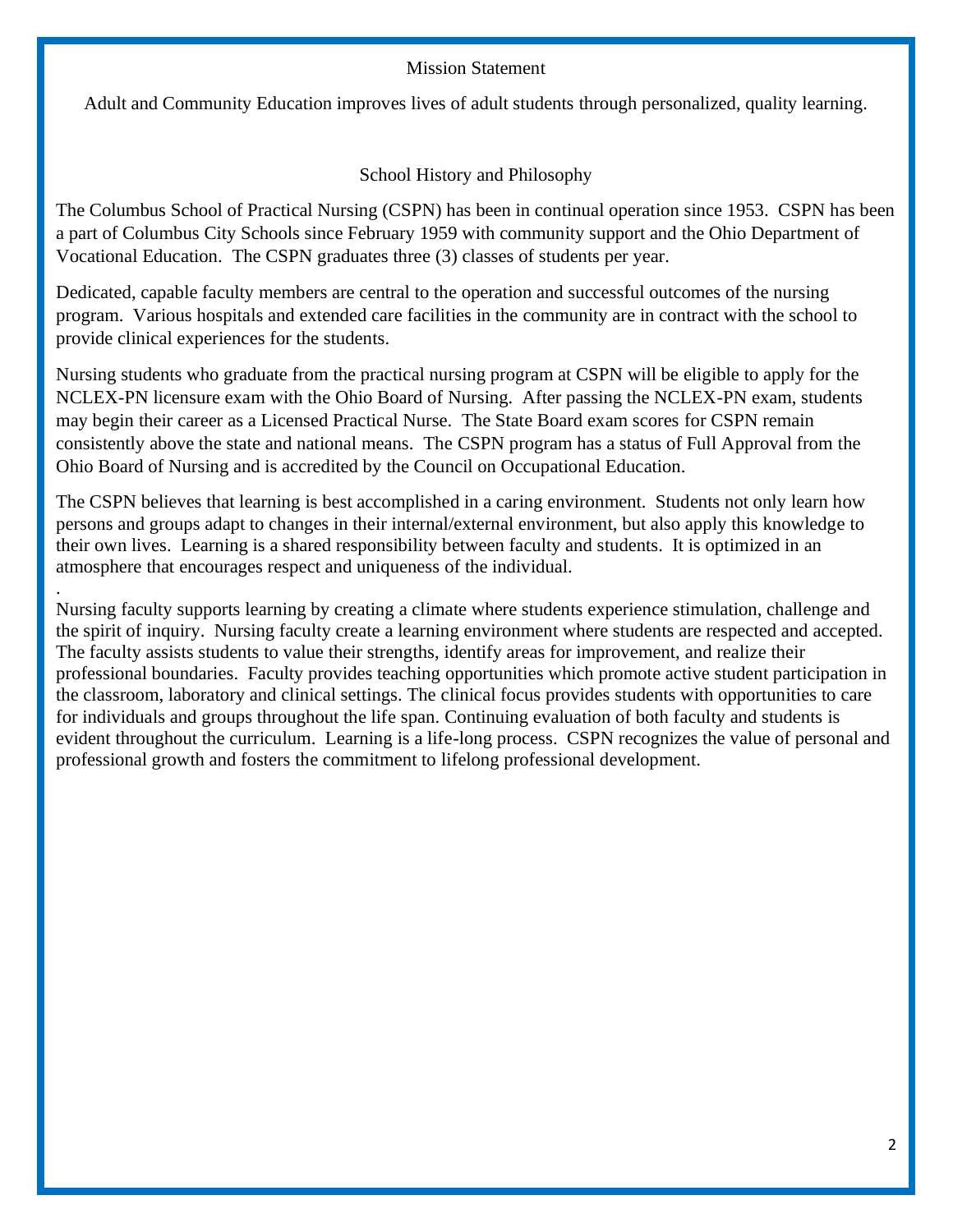#### Mission Statement

Adult and Community Education improves lives of adult students through personalized, quality learning.

School History and Philosophy

The Columbus School of Practical Nursing (CSPN) has been in continual operation since 1953. CSPN has been a part of Columbus City Schools since February 1959 with community support and the Ohio Department of Vocational Education. The CSPN graduates three (3) classes of students per year.

Dedicated, capable faculty members are central to the operation and successful outcomes of the nursing program. Various hospitals and extended care facilities in the community are in contract with the school to provide clinical experiences for the students.

Nursing students who graduate from the practical nursing program at CSPN will be eligible to apply for the NCLEX-PN licensure exam with the Ohio Board of Nursing. After passing the NCLEX-PN exam, students may begin their career as a Licensed Practical Nurse. The State Board exam scores for CSPN remain consistently above the state and national means. The CSPN program has a status of Full Approval from the Ohio Board of Nursing and is accredited by the Council on Occupational Education.

The CSPN believes that learning is best accomplished in a caring environment. Students not only learn how persons and groups adapt to changes in their internal/external environment, but also apply this knowledge to their own lives. Learning is a shared responsibility between faculty and students. It is optimized in an atmosphere that encourages respect and uniqueness of the individual.

. Nursing faculty supports learning by creating a climate where students experience stimulation, challenge and the spirit of inquiry. Nursing faculty create a learning environment where students are respected and accepted. The faculty assists students to value their strengths, identify areas for improvement, and realize their professional boundaries. Faculty provides teaching opportunities which promote active student participation in the classroom, laboratory and clinical settings. The clinical focus provides students with opportunities to care for individuals and groups throughout the life span. Continuing evaluation of both faculty and students is evident throughout the curriculum. Learning is a life-long process. CSPN recognizes the value of personal and professional growth and fosters the commitment to lifelong professional development.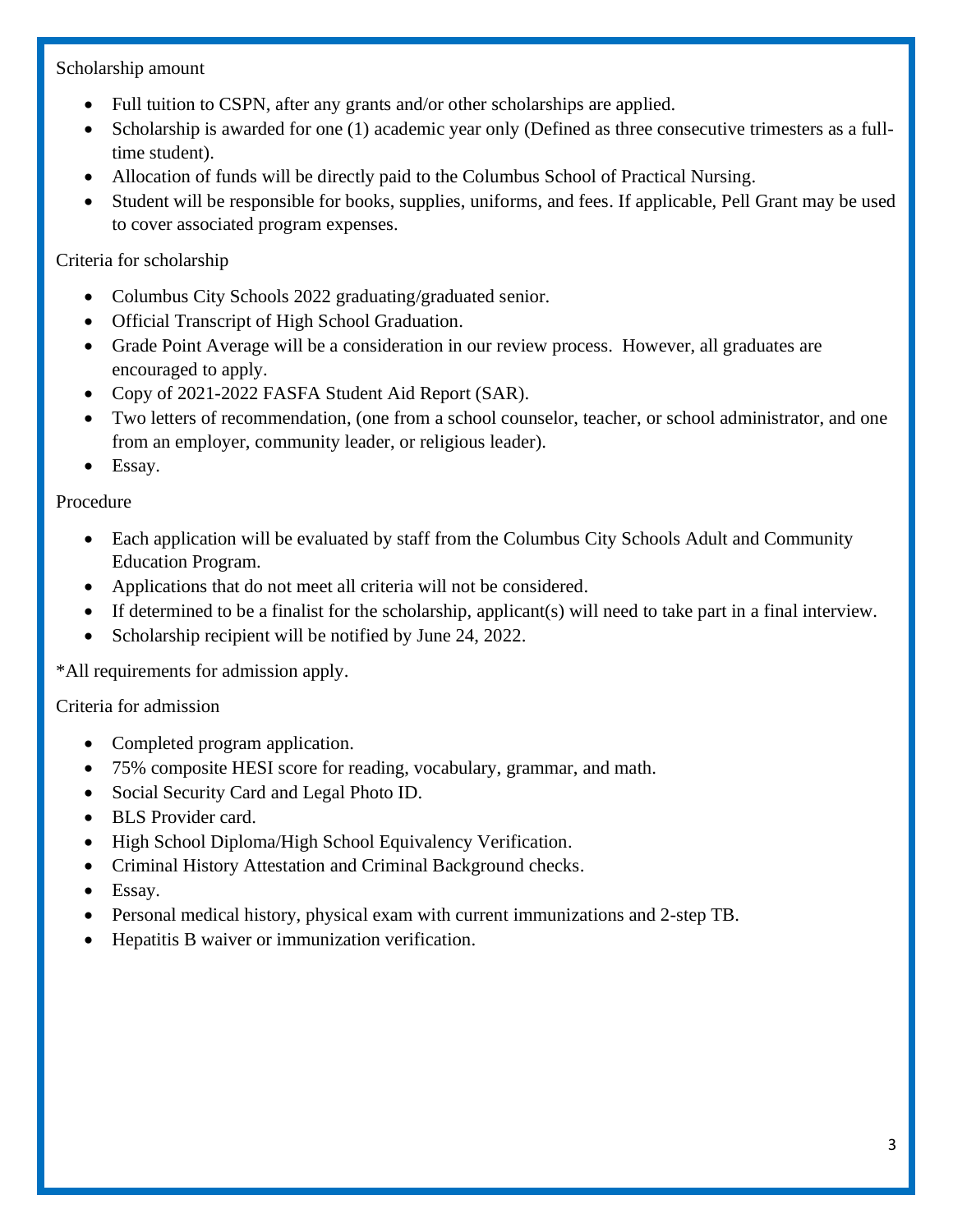### Scholarship amount

- Full tuition to CSPN, after any grants and/or other scholarships are applied.
- Scholarship is awarded for one (1) academic year only (Defined as three consecutive trimesters as a fulltime student).
- Allocation of funds will be directly paid to the Columbus School of Practical Nursing.
- Student will be responsible for books, supplies, uniforms, and fees. If applicable, Pell Grant may be used to cover associated program expenses.

### Criteria for scholarship

- Columbus City Schools 2022 graduating/graduated senior.
- Official Transcript of High School Graduation.
- Grade Point Average will be a consideration in our review process. However, all graduates are encouraged to apply.
- Copy of 2021-2022 FASFA Student Aid Report (SAR).
- Two letters of recommendation, (one from a school counselor, teacher, or school administrator, and one from an employer, community leader, or religious leader).
- Essay.

### Procedure

- Each application will be evaluated by staff from the Columbus City Schools Adult and Community Education Program.
- Applications that do not meet all criteria will not be considered.
- If determined to be a finalist for the scholarship, applicant(s) will need to take part in a final interview.
- Scholarship recipient will be notified by June 24, 2022.

\*All requirements for admission apply.

### Criteria for admission

- Completed program application.
- 75% composite HESI score for reading, vocabulary, grammar, and math.
- Social Security Card and Legal Photo ID.
- BLS Provider card.
- High School Diploma/High School Equivalency Verification.
- Criminal History Attestation and Criminal Background checks.
- Essay.
- Personal medical history, physical exam with current immunizations and 2-step TB.
- Hepatitis B waiver or immunization verification.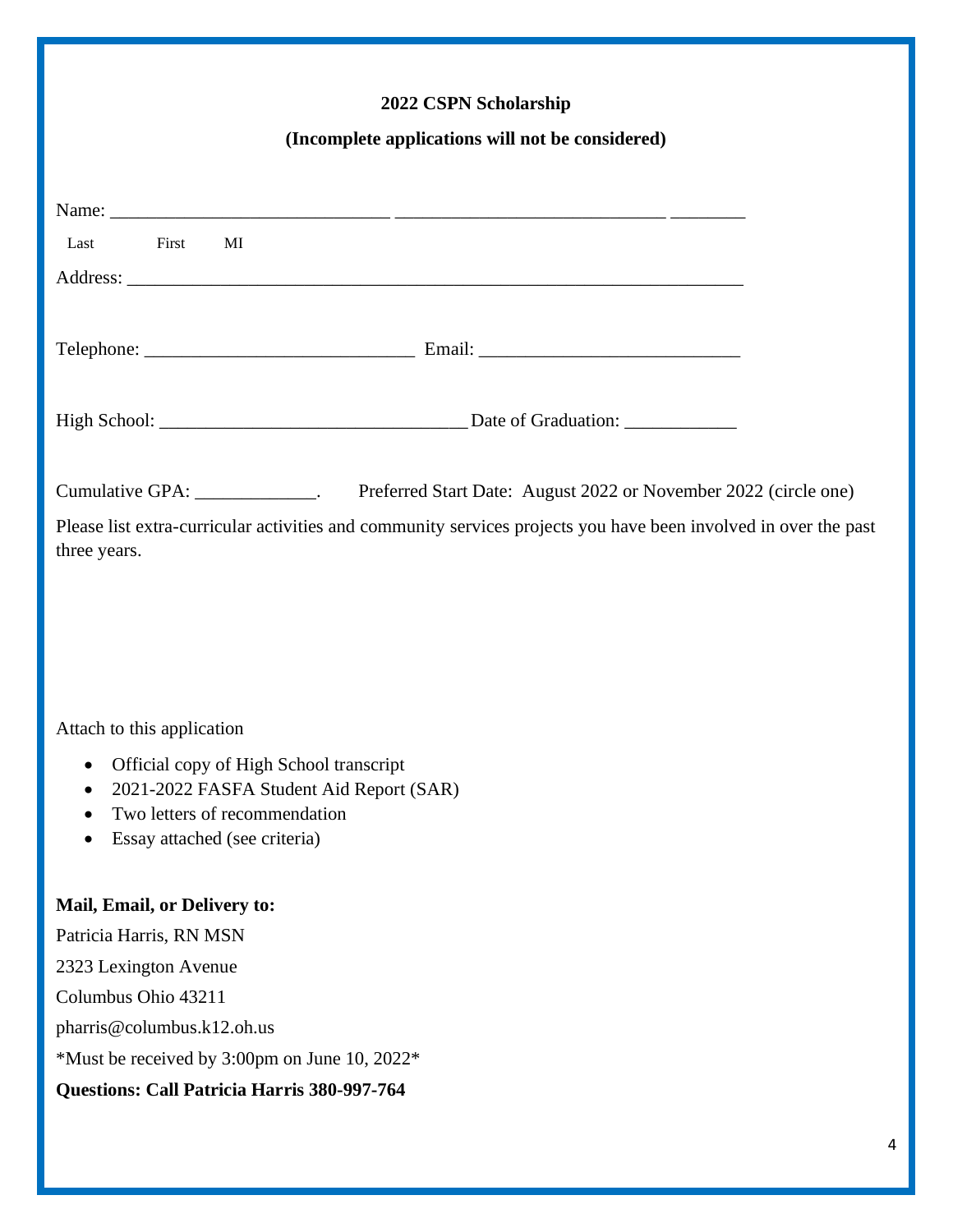## **2022 CSPN Scholarship**

### **(Incomplete applications will not be considered)**

| Last First<br>MI                                      |                                                                                                                 |  |  |  |  |
|-------------------------------------------------------|-----------------------------------------------------------------------------------------------------------------|--|--|--|--|
|                                                       |                                                                                                                 |  |  |  |  |
|                                                       |                                                                                                                 |  |  |  |  |
|                                                       |                                                                                                                 |  |  |  |  |
|                                                       |                                                                                                                 |  |  |  |  |
|                                                       |                                                                                                                 |  |  |  |  |
|                                                       |                                                                                                                 |  |  |  |  |
|                                                       | Cumulative GPA: _____________. Preferred Start Date: August 2022 or November 2022 (circle one)                  |  |  |  |  |
| three years.                                          | Please list extra-curricular activities and community services projects you have been involved in over the past |  |  |  |  |
|                                                       |                                                                                                                 |  |  |  |  |
|                                                       |                                                                                                                 |  |  |  |  |
|                                                       |                                                                                                                 |  |  |  |  |
|                                                       |                                                                                                                 |  |  |  |  |
| Attach to this application                            |                                                                                                                 |  |  |  |  |
| Official copy of High School transcript<br>٠          |                                                                                                                 |  |  |  |  |
| 2021-2022 FASFA Student Aid Report (SAR)<br>$\bullet$ |                                                                                                                 |  |  |  |  |
| Two letters of recommendation<br>$\bullet$            |                                                                                                                 |  |  |  |  |
| Essay attached (see criteria)<br>$\bullet$            |                                                                                                                 |  |  |  |  |
| Mail, Email, or Delivery to:                          |                                                                                                                 |  |  |  |  |
| Patricia Harris, RN MSN                               |                                                                                                                 |  |  |  |  |
| 2323 Lexington Avenue                                 |                                                                                                                 |  |  |  |  |
| Columbus Ohio 43211                                   |                                                                                                                 |  |  |  |  |
|                                                       |                                                                                                                 |  |  |  |  |
| pharris@columbus.k12.oh.us                            |                                                                                                                 |  |  |  |  |
| *Must be received by 3:00pm on June 10, 2022*         |                                                                                                                 |  |  |  |  |
| Questions: Call Patricia Harris 380-997-764           |                                                                                                                 |  |  |  |  |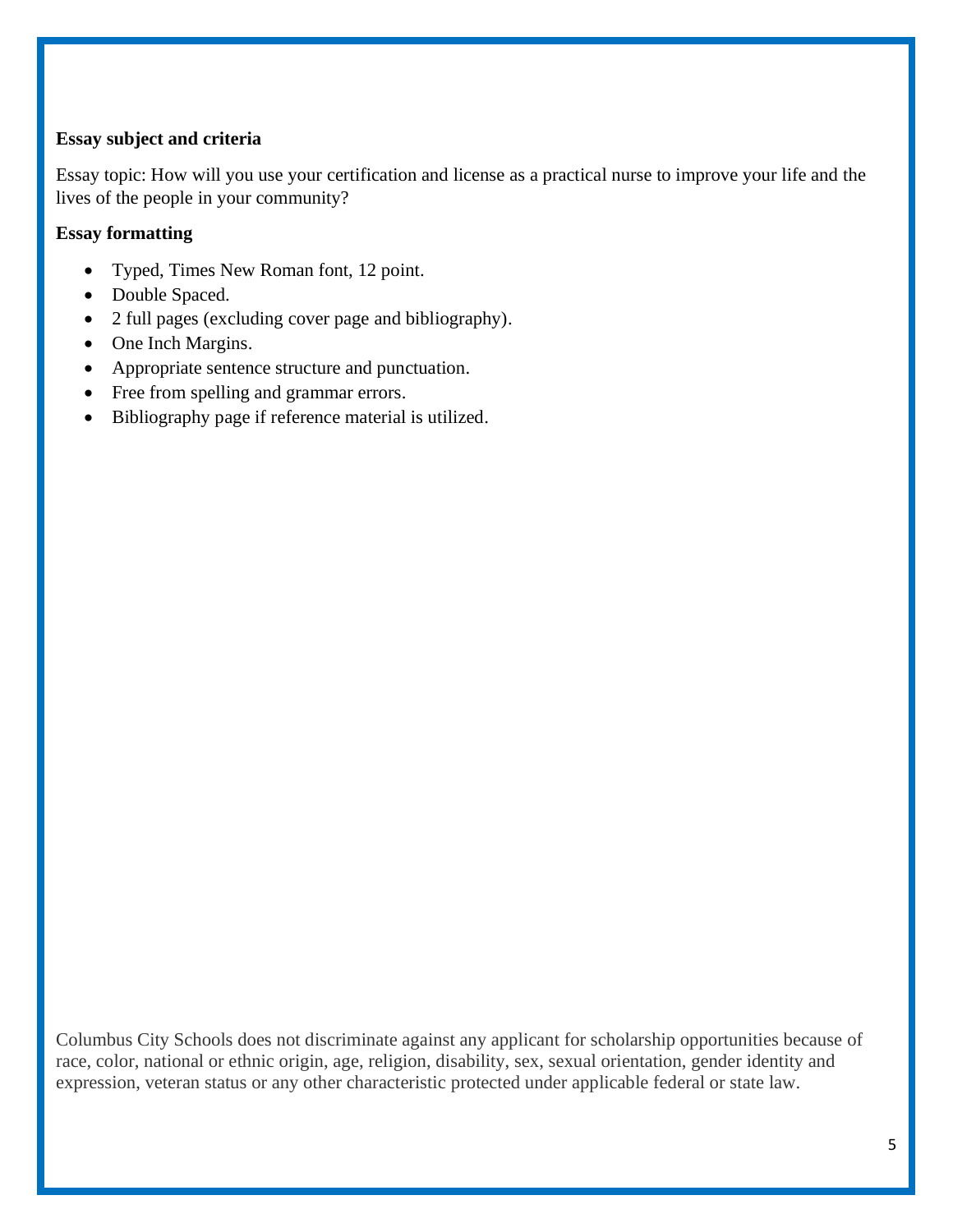### **Essay subject and criteria**

Essay topic: How will you use your certification and license as a practical nurse to improve your life and the lives of the people in your community?

#### **Essay formatting**

- Typed, Times New Roman font, 12 point.
- Double Spaced.
- 2 full pages (excluding cover page and bibliography).
- One Inch Margins.
- Appropriate sentence structure and punctuation.
- Free from spelling and grammar errors.
- Bibliography page if reference material is utilized.

Columbus City Schools does not discriminate against any applicant for scholarship opportunities because of race, color, national or ethnic origin, age, religion, disability, sex, sexual orientation, gender identity and expression, veteran status or any other characteristic protected under applicable federal or state law.